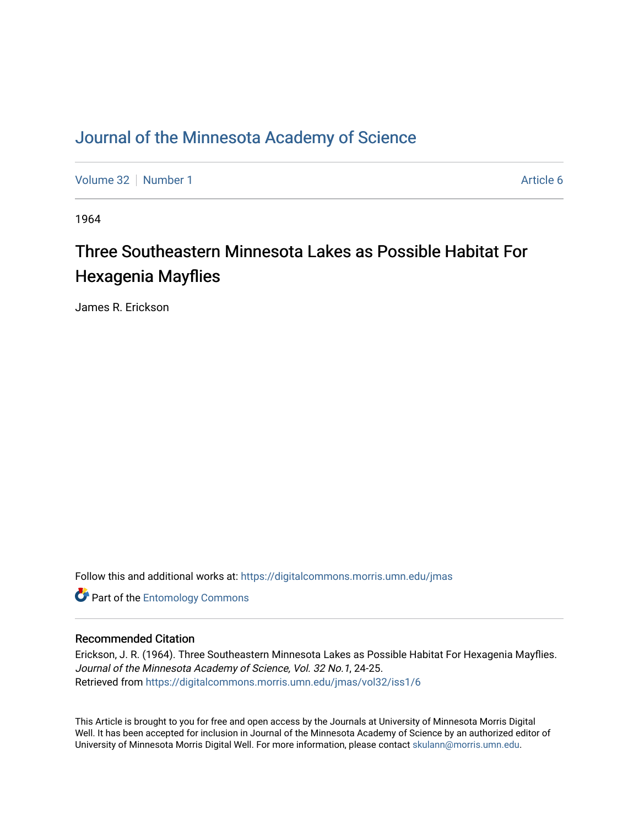## [Journal of the Minnesota Academy of Science](https://digitalcommons.morris.umn.edu/jmas)

[Volume 32](https://digitalcommons.morris.umn.edu/jmas/vol32) [Number 1](https://digitalcommons.morris.umn.edu/jmas/vol32/iss1) Article 6

1964

# Three Southeastern Minnesota Lakes as Possible Habitat For Hexagenia Mayflies

James R. Erickson

Follow this and additional works at: [https://digitalcommons.morris.umn.edu/jmas](https://digitalcommons.morris.umn.edu/jmas?utm_source=digitalcommons.morris.umn.edu%2Fjmas%2Fvol32%2Fiss1%2F6&utm_medium=PDF&utm_campaign=PDFCoverPages) 

**Part of the Entomology Commons** 

## Recommended Citation

Erickson, J. R. (1964). Three Southeastern Minnesota Lakes as Possible Habitat For Hexagenia Mayflies. Journal of the Minnesota Academy of Science, Vol. 32 No.1, 24-25. Retrieved from [https://digitalcommons.morris.umn.edu/jmas/vol32/iss1/6](https://digitalcommons.morris.umn.edu/jmas/vol32/iss1/6?utm_source=digitalcommons.morris.umn.edu%2Fjmas%2Fvol32%2Fiss1%2F6&utm_medium=PDF&utm_campaign=PDFCoverPages)

This Article is brought to you for free and open access by the Journals at University of Minnesota Morris Digital Well. It has been accepted for inclusion in Journal of the Minnesota Academy of Science by an authorized editor of University of Minnesota Morris Digital Well. For more information, please contact [skulann@morris.umn.edu](mailto:skulann@morris.umn.edu).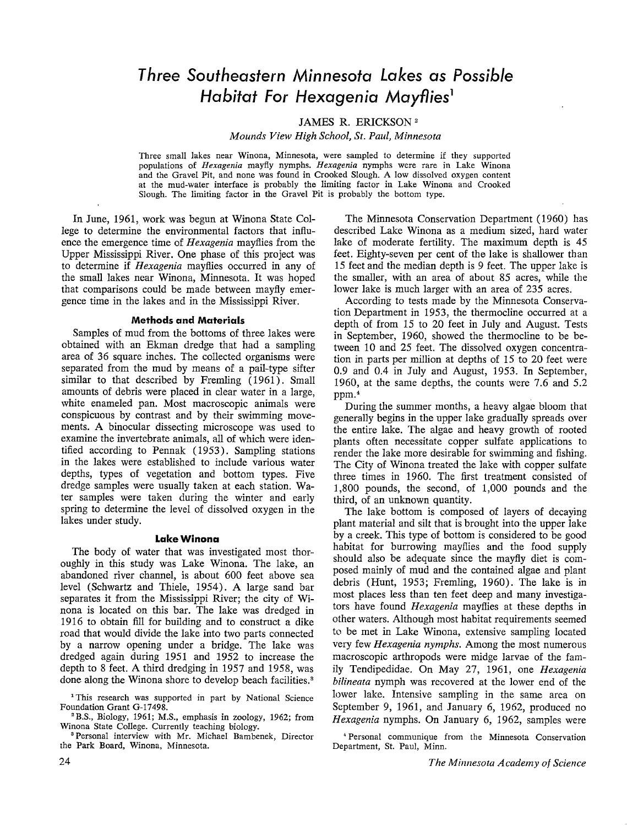## *Three Southeastern Minnesota Lakes as Possible Habitat For Hexagenia Mayflies* **<sup>1</sup>**

JAMES R. ERICKSON <sup>2</sup>

*Mounds View High School, St. Paul, Minnesota* 

Three small lakes near Winona, Minnesota, were sampled to determine if they supported populations of *Hexagenia* mayfly nymphs. *Hexagenia* nymphs were rare in Lake Winona and the Gravel Pit, and none was found in Crooked Slough. A low dissolved oxygen content at the mud-water interface is probably the limiting factor in Lake Winona and Crooked Slough. The limiting factor in the Gravel Pit is probably the bottom type.

In June, 1961, work was begun at Winona State College to determine the environmental factors that influence the emergence time of *Hexagenia* mayflies from the Upper Mississippi River. One phase of this project was to determine if *Hexagenia* mayflies occurred in any of the small lakes near Winona, Minnesota. It was hoped that comparisons could be made between mayfly emergence time in the lakes and in the Mississippi River.

## **Methods and Materials**

Samples of mud from the bottoms of three lakes were obtained with an Ekman dredge that had a sampling area of 36 square inches. The collected organisms were separated from the mud by means of a pail-type sifter similar to that described by Fremling (1961). Small amounts of debris were placed in clear water in a large, white enameled pan. Most macroscopic animals were conspicuous by contrast and by their swimming movements. A binocular dissecting microscope was used to examine the invertebrate animals, all of which were identified according to Pennak ( 1953). Sampling stations in the lakes were established to include various water depths, types of vegetation and bottom types. Five dredge samples were usually taken at each station. Water samples were taken during the winter and early spring to determine the level of dissolved oxygen in the lakes under study.

#### **Lake Winona**

The body of water that was investigated most thoroughly in this study was Lake Winona. The lake, an abandoned river channel, is about 600 feet above sea level (Schwartz and Thiele, 1954). A large sand bar separates it from the Mississippi River; the city of **Wi**nona is located on this bar. The lake was dredged in 1916 to obtain fill for building and to construct a dike road that would divide the lake into two parts connected by a narrow opening under a bridge. The lake was dredged again during 1951 and 1952 to increase the depth to 8 feet. A third dredging in 1957 and 1958, was done along the Winona shore to develop beach facilities.<sup>3</sup>

<sup>1</sup>This research was supported in part by National Science Foundation Grant G-17498.

<sup>2</sup>B.S., Biology, 1961; M.S., emphasis in zoology, 1962; from Winona State College. Currently teaching biology.

<sup>3</sup>Personal interview with Mr. Michael Bambenek, Director the Park Board, Winona, Minnesota.

The Minnesota Conservation Department (1960) has described Lake Winona as a medium sized, hard water lake of moderate fertility. The maximum depth is 45 feet. Eighty-seven per cent of the lake is shallower than 15 feet and the median depth is 9 feet. The upper lake is the smaller, with an area of about 85 acres, while the lower lake is much larger with an area of 235 acres.

According to tests made by the Minnesota Conservation Department in 1953, the thermocline occurred at a depth of from 15 to 20 feet in July and August. Tests in September, 1960, showed the thermocline to be between 10 and 25 feet. The dissolved oxygen concentration in parts per million at depths of 15 to 20 feet were 0.9 and 0.4 in July and August, 1953. In September, 1960, at the same depths, the counts were 7.6 and 5.2 ppm.4

During the summer months, a heavy algae bloom that generally begins in the upper lake gradually spreads over the entire lake. The algae and heavy growth of rooted plants often necessitate copper sulfate applications to render the lake more desirable for swimming and fishing. The City of Winona treated the lake with copper sulfate three times in 1960. The first treatment consisted of 1,800 pounds, the second, of 1,000 pounds and the third, of an unknown quantity.

The lake bottom is composed of layers of decaying plant material and silt that is brought into the upper lake by a creek. This type of bottom is considered to be good habitat for burrowing mayflies and the food supply should also be adequate since the mayfly diet is composed mainly of mud and the contained algae and plant debris (Hunt, 1953; Fremling, 1960). The lake is in most places less than ten feet deep and many investigators have found *Hexagenia* mayflies at these depths in other waters. Although most habitat requirements seemed to be met in Lake Winona, extensive sampling located very few *Hexagenia nymphs.* Among the most numerous macroscopic arthropods were midge larvae of the family Tendipedidae. On May 27, 1961, one *Hexagenia bilineata* nymph was recovered at the lower end of the lower lake. Intensive sampling **in** the same area on September 9, 1961, and January 6, 1962, produced no *Hexagenia* nymphs. **On** January 6, 1962, samples were

'Personal communique from the Minnesota Conservation Department, St. Paul, Minn.